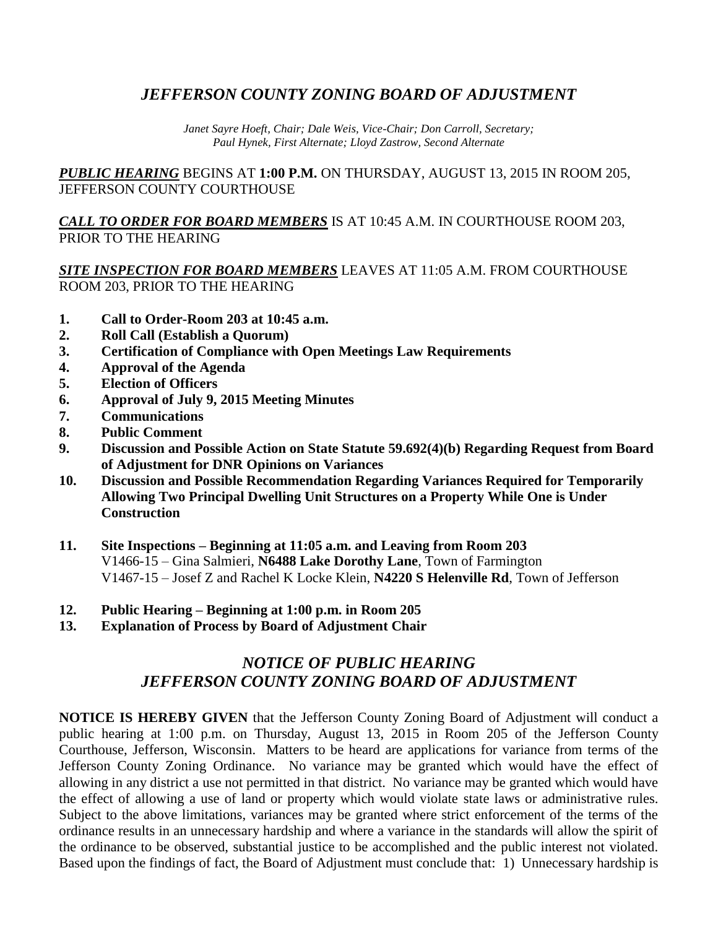## *JEFFERSON COUNTY ZONING BOARD OF ADJUSTMENT*

*Janet Sayre Hoeft, Chair; Dale Weis, Vice-Chair; Don Carroll, Secretary; Paul Hynek, First Alternate; Lloyd Zastrow, Second Alternate*

*PUBLIC HEARING* BEGINS AT **1:00 P.M.** ON THURSDAY, AUGUST 13, 2015 IN ROOM 205, JEFFERSON COUNTY COURTHOUSE

*CALL TO ORDER FOR BOARD MEMBERS* IS AT 10:45 A.M. IN COURTHOUSE ROOM 203, PRIOR TO THE HEARING

*SITE INSPECTION FOR BOARD MEMBERS* LEAVES AT 11:05 A.M. FROM COURTHOUSE ROOM 203, PRIOR TO THE HEARING

- **1. Call to Order-Room 203 at 10:45 a.m.**
- **2. Roll Call (Establish a Quorum)**
- **3. Certification of Compliance with Open Meetings Law Requirements**
- **4. Approval of the Agenda**
- **5. Election of Officers**
- **6. Approval of July 9, 2015 Meeting Minutes**
- **7. Communications**
- **8. Public Comment**
- **9. Discussion and Possible Action on State Statute 59.692(4)(b) Regarding Request from Board of Adjustment for DNR Opinions on Variances**
- **10. Discussion and Possible Recommendation Regarding Variances Required for Temporarily Allowing Two Principal Dwelling Unit Structures on a Property While One is Under Construction**
- **11. Site Inspections – Beginning at 11:05 a.m. and Leaving from Room 203** V1466-15 – Gina Salmieri, **N6488 Lake Dorothy Lane**, Town of Farmington V1467-15 – Josef Z and Rachel K Locke Klein, **N4220 S Helenville Rd**, Town of Jefferson
- **12. Public Hearing – Beginning at 1:00 p.m. in Room 205**
- **13. Explanation of Process by Board of Adjustment Chair**

## *NOTICE OF PUBLIC HEARING JEFFERSON COUNTY ZONING BOARD OF ADJUSTMENT*

**NOTICE IS HEREBY GIVEN** that the Jefferson County Zoning Board of Adjustment will conduct a public hearing at 1:00 p.m. on Thursday, August 13, 2015 in Room 205 of the Jefferson County Courthouse, Jefferson, Wisconsin. Matters to be heard are applications for variance from terms of the Jefferson County Zoning Ordinance. No variance may be granted which would have the effect of allowing in any district a use not permitted in that district. No variance may be granted which would have the effect of allowing a use of land or property which would violate state laws or administrative rules. Subject to the above limitations, variances may be granted where strict enforcement of the terms of the ordinance results in an unnecessary hardship and where a variance in the standards will allow the spirit of the ordinance to be observed, substantial justice to be accomplished and the public interest not violated. Based upon the findings of fact, the Board of Adjustment must conclude that: 1) Unnecessary hardship is